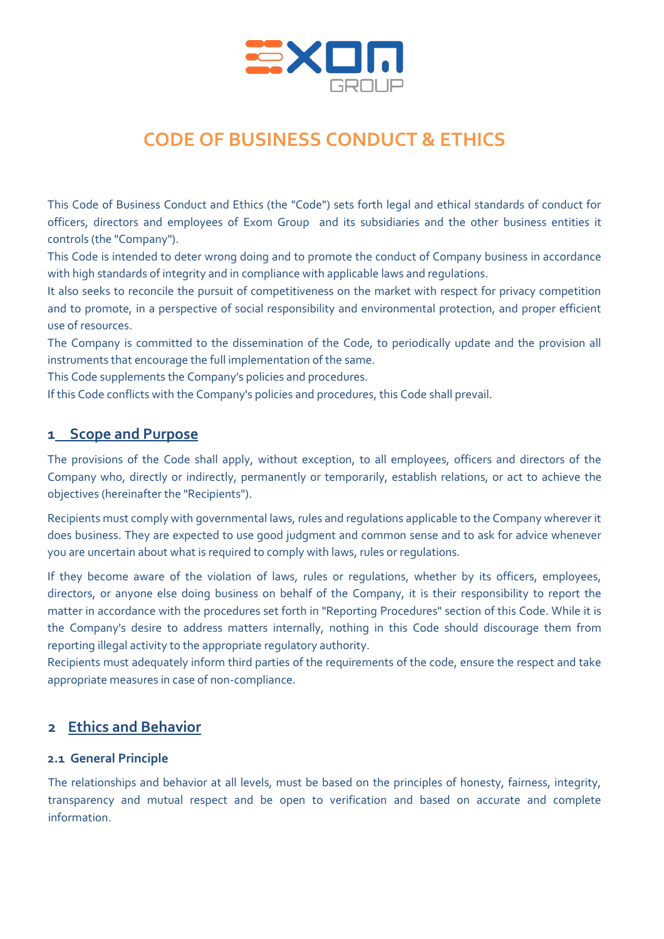

# **CODE OF BUSINESS CONDUCT & ETHICS**

This Code of Business Conduct and Ethics (the "Code") sets forth legal and ethical standards of conduct for officers, directors and employees of Exom Group and its subsidiaries and the other business entities it controls (the "Company").

This Code is intended to deter wrong doing and to promote the conduct of Company business in accordance with high standards of integrity and in compliance with applicable laws and regulations.

It also seeks to reconcile the pursuit of competitiveness on the market with respect for privacy competition and to promote, in a perspective of social responsibility and environmental protection, and proper efficient use of resources.

The Company is committed to the dissemination of the Code, to periodically update and the provision all instruments that encourage the full implementation of the same.

This Code supplements the Company's policies and procedures.

If this Code conflicts with the Company's policies and procedures, this Code shall prevail.

# **1 Scope and Purpose**

The provisions of the Code shall apply, without exception, to all employees, officers and directors of the Company who, directly or indirectly, permanently or temporarily, establish relations, or act to achieve the objectives (hereinafter the "Recipients").

Recipients must comply with governmental laws, rules and regulations applicable to the Company wherever it does business. They are expected to use good judgment and common sense and to ask for advice whenever you are uncertain about what is required to comply with laws, rules or regulations.

If they become aware of the violation of laws, rules or regulations, whether by its officers, employees, directors, or anyone else doing business on behalf of the Company, it is their responsibility to report the matter in accordance with the procedures set forth in "Reporting Procedures" section of this Code. While it is the Company's desire to address matters internally, nothing in this Code should discourage them from reporting illegal activity to the appropriate regulatory authority.

Recipients must adequately inform third parties of the requirements of the code, ensure the respect and take appropriate measures in case of non-compliance.

# **2 Ethics and Behavior**

## **2.1 General Principle**

The relationships and behavior at all levels, must be based on the principles of honesty, fairness, integrity, transparency and mutual respect and be open to verification and based on accurate and complete information.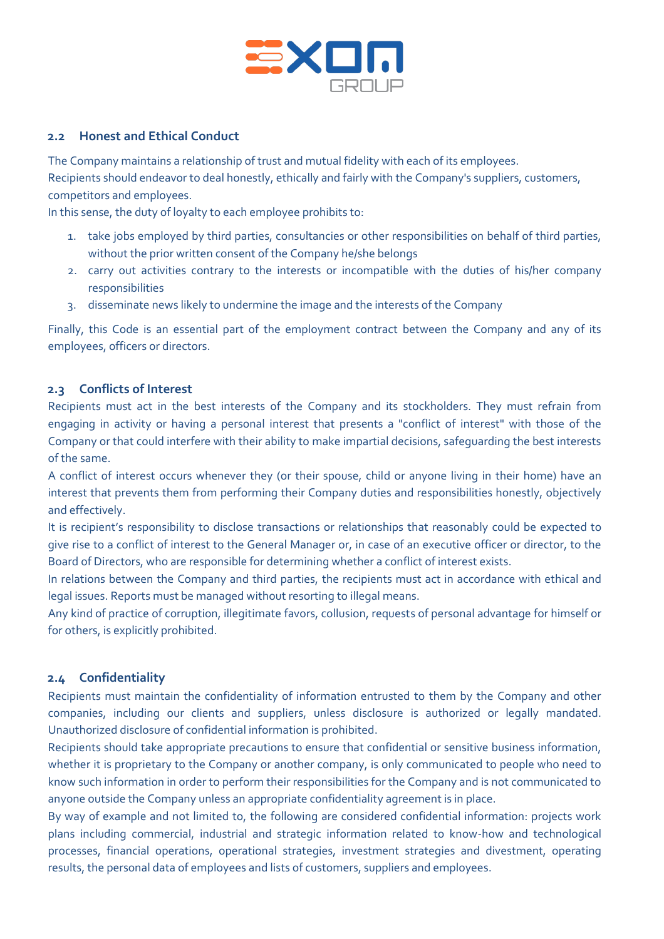

# **2.2 Honest and Ethical Conduct**

The Company maintains a relationship of trust and mutual fidelity with each of its employees. Recipients should endeavor to deal honestly, ethically and fairly with the Company's suppliers, customers, competitors and employees.

In this sense, the duty of loyalty to each employee prohibits to:

- 1. take jobs employed by third parties, consultancies or other responsibilities on behalf of third parties, without the prior written consent of the Company he/she belongs
- 2. carry out activities contrary to the interests or incompatible with the duties of his/her company responsibilities
- 3. disseminate news likely to undermine the image and the interests of the Company

Finally, this Code is an essential part of the employment contract between the Company and any of its employees, officers or directors.

## **2.3 Conflicts of Interest**

Recipients must act in the best interests of the Company and its stockholders. They must refrain from engaging in activity or having a personal interest that presents a "conflict of interest" with those of the Company or that could interfere with their ability to make impartial decisions, safeguarding the best interests of the same.

A conflict of interest occurs whenever they (or their spouse, child or anyone living in their home) have an interest that prevents them from performing their Company duties and responsibilities honestly, objectively and effectively.

It is recipient's responsibility to disclose transactions or relationships that reasonably could be expected to give rise to a conflict of interest to the General Manager or, in case of an executive officer or director, to the Board of Directors, who are responsible for determining whether a conflict of interest exists.

In relations between the Company and third parties, the recipients must act in accordance with ethical and legal issues. Reports must be managed without resorting to illegal means.

Any kind of practice of corruption, illegitimate favors, collusion, requests of personal advantage for himself or for others, is explicitly prohibited.

#### **2.4 Confidentiality**

Recipients must maintain the confidentiality of information entrusted to them by the Company and other companies, including our clients and suppliers, unless disclosure is authorized or legally mandated. Unauthorized disclosure of confidential information is prohibited.

Recipients should take appropriate precautions to ensure that confidential or sensitive business information, whether it is proprietary to the Company or another company, is only communicated to people who need to know such information in order to perform their responsibilities for the Company and is not communicated to anyone outside the Company unless an appropriate confidentiality agreement is in place.

By way of example and not limited to, the following are considered confidential information: projects work plans including commercial, industrial and strategic information related to know-how and technological processes, financial operations, operational strategies, investment strategies and divestment, operating results, the personal data of employees and lists of customers, suppliers and employees.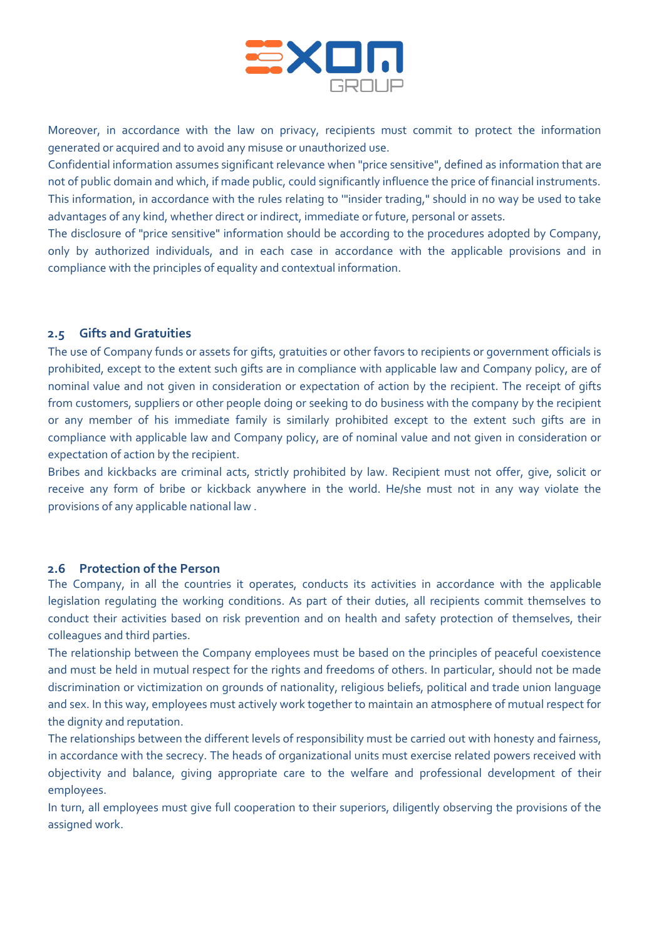

Moreover, in accordance with the law on privacy, recipients must commit to protect the information generated or acquired and to avoid any misuse or unauthorized use.

Confidential information assumes significant relevance when "price sensitive", defined as information that are not of public domain and which, if made public, could significantly influence the price of financial instruments. This information, in accordance with the rules relating to '"insider trading," should in no way be used to take advantages of any kind, whether direct or indirect, immediate or future, personal or assets.

The disclosure of "price sensitive" information should be according to the procedures adopted by Company, only by authorized individuals, and in each case in accordance with the applicable provisions and in compliance with the principles of equality and contextual information.

#### **2.5 Gifts and Gratuities**

The use of Company funds or assets for gifts, gratuities or other favors to recipients or government officials is prohibited, except to the extent such gifts are in compliance with applicable law and Company policy, are of nominal value and not given in consideration or expectation of action by the recipient. The receipt of gifts from customers, suppliers or other people doing or seeking to do business with the company by the recipient or any member of his immediate family is similarly prohibited except to the extent such gifts are in compliance with applicable law and Company policy, are of nominal value and not given in consideration or expectation of action by the recipient.

Bribes and kickbacks are criminal acts, strictly prohibited by law. Recipient must not offer, give, solicit or receive any form of bribe or kickback anywhere in the world. He/she must not in any way violate the provisions of any applicable national law .

## **2.6 Protection of the Person**

The Company, in all the countries it operates, conducts its activities in accordance with the applicable legislation regulating the working conditions. As part of their duties, all recipients commit themselves to conduct their activities based on risk prevention and on health and safety protection of themselves, their colleagues and third parties.

The relationship between the Company employees must be based on the principles of peaceful coexistence and must be held in mutual respect for the rights and freedoms of others. In particular, should not be made discrimination or victimization on grounds of nationality, religious beliefs, political and trade union language and sex. In this way, employees must actively work together to maintain an atmosphere of mutual respect for the dignity and reputation.

The relationships between the different levels of responsibility must be carried out with honesty and fairness, in accordance with the secrecy. The heads of organizational units must exercise related powers received with objectivity and balance, giving appropriate care to the welfare and professional development of their employees.

In turn, all employees must give full cooperation to their superiors, diligently observing the provisions of the assigned work.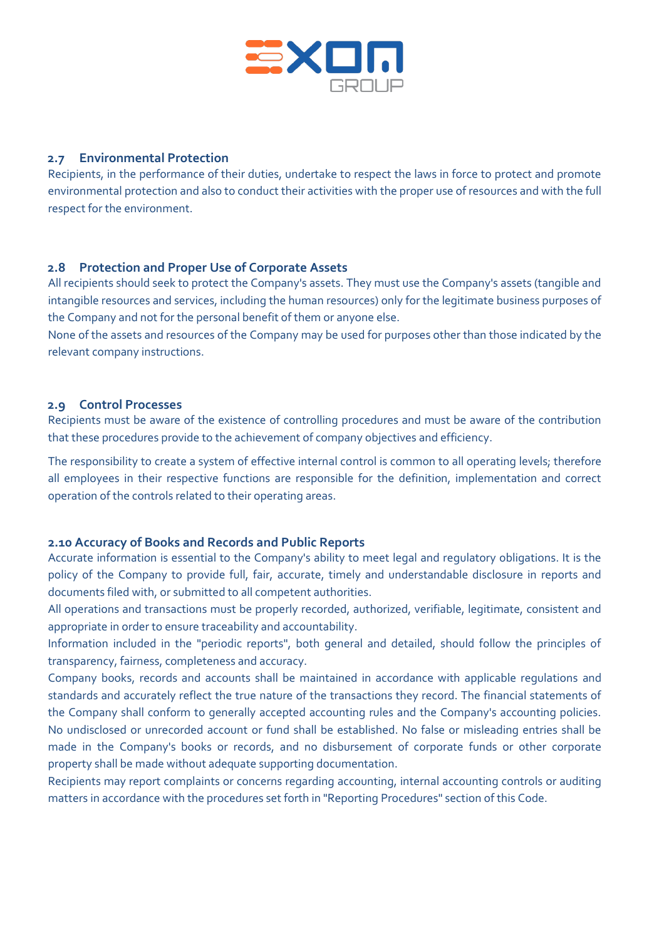

## **2.7 Environmental Protection**

Recipients, in the performance of their duties, undertake to respect the laws in force to protect and promote environmental protection and also to conduct their activities with the proper use of resources and with the full respect for the environment.

# **2.8 Protection and Proper Use of Corporate Assets**

All recipients should seek to protect the Company's assets. They must use the Company's assets (tangible and intangible resources and services, including the human resources) only for the legitimate business purposes of the Company and not for the personal benefit of them or anyone else.

None of the assets and resources of the Company may be used for purposes other than those indicated by the relevant company instructions.

#### **2.9 Control Processes**

Recipients must be aware of the existence of controlling procedures and must be aware of the contribution that these procedures provide to the achievement of company objectives and efficiency.

The responsibility to create a system of effective internal control is common to all operating levels; therefore all employees in their respective functions are responsible for the definition, implementation and correct operation of the controls related to their operating areas.

#### **2.10 Accuracy of Books and Records and Public Reports**

Accurate information is essential to the Company's ability to meet legal and regulatory obligations. It is the policy of the Company to provide full, fair, accurate, timely and understandable disclosure in reports and documents filed with, or submitted to all competent authorities.

All operations and transactions must be properly recorded, authorized, verifiable, legitimate, consistent and appropriate in order to ensure traceability and accountability.

Information included in the "periodic reports", both general and detailed, should follow the principles of transparency, fairness, completeness and accuracy.

Company books, records and accounts shall be maintained in accordance with applicable regulations and standards and accurately reflect the true nature of the transactions they record. The financial statements of the Company shall conform to generally accepted accounting rules and the Company's accounting policies. No undisclosed or unrecorded account or fund shall be established. No false or misleading entries shall be made in the Company's books or records, and no disbursement of corporate funds or other corporate property shall be made without adequate supporting documentation.

Recipients may report complaints or concerns regarding accounting, internal accounting controls or auditing matters in accordance with the procedures set forth in "Reporting Procedures" section of this Code.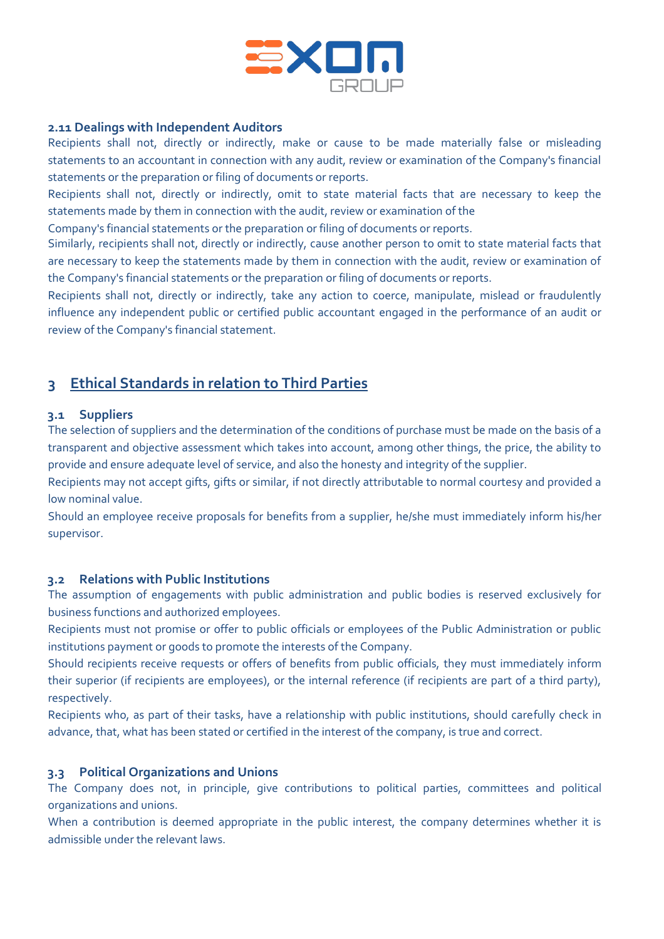

#### **2.11 Dealings with Independent Auditors**

Recipients shall not, directly or indirectly, make or cause to be made materially false or misleading statements to an accountant in connection with any audit, review or examination of the Company's financial statements or the preparation or filing of documents or reports.

Recipients shall not, directly or indirectly, omit to state material facts that are necessary to keep the statements made by them in connection with the audit, review or examination of the

Company's financial statements or the preparation or filing of documents or reports.

Similarly, recipients shall not, directly or indirectly, cause another person to omit to state material facts that are necessary to keep the statements made by them in connection with the audit, review or examination of the Company's financial statements or the preparation or filing of documents or reports.

Recipients shall not, directly or indirectly, take any action to coerce, manipulate, mislead or fraudulently influence any independent public or certified public accountant engaged in the performance of an audit or review of the Company's financial statement.

# **3 Ethical Standards in relation to Third Parties**

#### **3.1 Suppliers**

The selection of suppliers and the determination of the conditions of purchase must be made on the basis of a transparent and objective assessment which takes into account, among other things, the price, the ability to provide and ensure adequate level of service, and also the honesty and integrity of the supplier.

Recipients may not accept gifts, gifts or similar, if not directly attributable to normal courtesy and provided a low nominal value.

Should an employee receive proposals for benefits from a supplier, he/she must immediately inform his/her supervisor.

#### **3.2 Relations with Public Institutions**

The assumption of engagements with public administration and public bodies is reserved exclusively for business functions and authorized employees.

Recipients must not promise or offer to public officials or employees of the Public Administration or public institutions payment or goods to promote the interests of the Company.

Should recipients receive requests or offers of benefits from public officials, they must immediately inform their superior (if recipients are employees), or the internal reference (if recipients are part of a third party), respectively.

Recipients who, as part of their tasks, have a relationship with public institutions, should carefully check in advance, that, what has been stated or certified in the interest of the company, is true and correct.

#### **3.3 Political Organizations and Unions**

The Company does not, in principle, give contributions to political parties, committees and political organizations and unions.

When a contribution is deemed appropriate in the public interest, the company determines whether it is admissible under the relevant laws.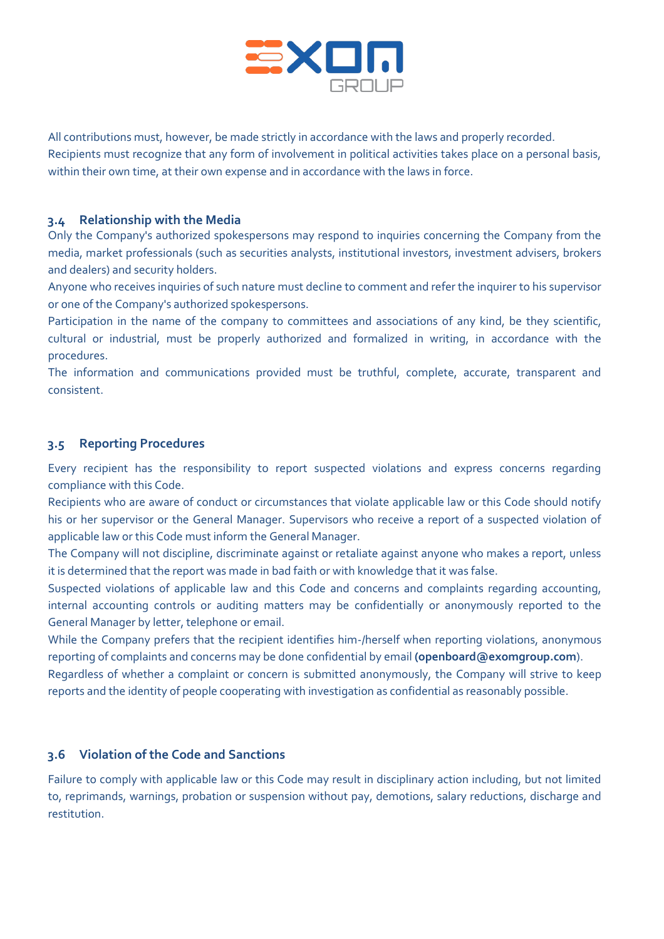

All contributions must, however, be made strictly in accordance with the laws and properly recorded. Recipients must recognize that any form of involvement in political activities takes place on a personal basis, within their own time, at their own expense and in accordance with the laws in force.

# **3.4 Relationship with the Media**

Only the Company's authorized spokespersons may respond to inquiries concerning the Company from the media, market professionals (such as securities analysts, institutional investors, investment advisers, brokers and dealers) and security holders.

Anyone who receives inquiries of such nature must decline to comment and refer the inquirer to his supervisor or one of the Company's authorized spokespersons.

Participation in the name of the company to committees and associations of any kind, be they scientific, cultural or industrial, must be properly authorized and formalized in writing, in accordance with the procedures.

The information and communications provided must be truthful, complete, accurate, transparent and consistent.

# **3.5 Reporting Procedures**

Every recipient has the responsibility to report suspected violations and express concerns regarding compliance with this Code.

Recipients who are aware of conduct or circumstances that violate applicable law or this Code should notify his or her supervisor or the General Manager. Supervisors who receive a report of a suspected violation of applicable law or this Code must inform the General Manager.

The Company will not discipline, discriminate against or retaliate against anyone who makes a report, unless it is determined that the report was made in bad faith or with knowledge that it was false.

Suspected violations of applicable law and this Code and concerns and complaints regarding accounting, internal accounting controls or auditing matters may be confidentially or anonymously reported to the General Manager by letter, telephone or email.

While the Company prefers that the recipient identifies him-/herself when reporting violations, anonymous reporting of complaints and concerns may be done confidential by email **(openboard@exomgroup.com**).

Regardless of whether a complaint or concern is submitted anonymously, the Company will strive to keep reports and the identity of people cooperating with investigation as confidential as reasonably possible.

## **3.6 Violation of the Code and Sanctions**

Failure to comply with applicable law or this Code may result in disciplinary action including, but not limited to, reprimands, warnings, probation or suspension without pay, demotions, salary reductions, discharge and restitution.